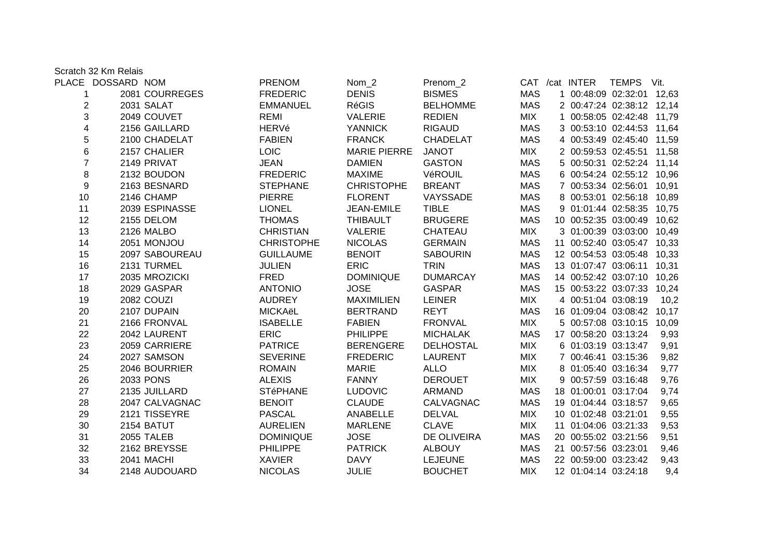Scratch 32 Km Relais

|                         | PLACE DOSSARD NOM |                  | <b>PRENOM</b>     | Nom <sub>2</sub>    | Prenom <sub>2</sub> |            |                      | CAT /cat INTER TEMPS Vit.  |      |
|-------------------------|-------------------|------------------|-------------------|---------------------|---------------------|------------|----------------------|----------------------------|------|
| 1                       |                   | 2081 COURREGES   | <b>FREDERIC</b>   | <b>DENIS</b>        | <b>BISMES</b>       | <b>MAS</b> |                      | 1 00:48:09 02:32:01 12,63  |      |
| $\overline{\mathbf{c}}$ |                   | 2031 SALAT       | <b>EMMANUEL</b>   | <b>RéGIS</b>        | <b>BELHOMME</b>     | <b>MAS</b> |                      | 2 00:47:24 02:38:12 12,14  |      |
| 3                       |                   | 2049 COUVET      | REMI              | <b>VALERIE</b>      | <b>REDIEN</b>       | <b>MIX</b> |                      | 1 00:58:05 02:42:48 11,79  |      |
| 4                       |                   | 2156 GAILLARD    | HERVé             | YANNICK             | RIGAUD              | MAS        |                      | 3 00:53:10 02:44:53 11,64  |      |
| 5                       |                   | 2100 CHADELAT    | <b>FABIEN</b>     | <b>FRANCK</b>       | CHADELAT            | <b>MAS</b> |                      | 4 00:53:49 02:45:40 11,59  |      |
| 6                       |                   | 2157 CHALIER     | <b>LOIC</b>       | <b>MARIE PIERRE</b> | <b>JANOT</b>        | <b>MIX</b> |                      | 2 00:59:53 02:45:51 11,58  |      |
| $\overline{7}$          |                   | 2149 PRIVAT      | <b>JEAN</b>       | <b>DAMIEN</b>       | <b>GASTON</b>       | <b>MAS</b> |                      | 5 00:50:31 02:52:24 11,14  |      |
| 8                       |                   | 2132 BOUDON      | <b>FREDERIC</b>   | <b>MAXIME</b>       | VéROUIL             | MAS        |                      | 6 00:54:24 02:55:12 10,96  |      |
| 9                       |                   | 2163 BESNARD     | <b>STEPHANE</b>   | <b>CHRISTOPHE</b>   | <b>BREANT</b>       | <b>MAS</b> |                      | 7 00:53:34 02:56:01 10,91  |      |
| 10                      |                   | 2146 CHAMP       | PIERRE            | <b>FLORENT</b>      | VAYSSADE            | <b>MAS</b> |                      | 8 00:53:01 02:56:18 10,89  |      |
| 11                      |                   | 2039 ESPINASSE   | <b>LIONEL</b>     | JEAN-EMILE          | <b>TIBLE</b>        | MAS        |                      | 9 01:01:44 02:58:35 10,75  |      |
| 12                      |                   | 2155 DELOM       | <b>THOMAS</b>     | <b>THIBAULT</b>     | <b>BRUGERE</b>      | <b>MAS</b> |                      | 10 00:52:35 03:00:49 10,62 |      |
| 13                      |                   | 2126 MALBO       | <b>CHRISTIAN</b>  | VALERIE             | CHATEAU             | <b>MIX</b> |                      | 3 01:00:39 03:03:00 10,49  |      |
| 14                      |                   | 2051 MONJOU      | <b>CHRISTOPHE</b> | <b>NICOLAS</b>      | <b>GERMAIN</b>      | MAS        |                      | 11 00:52:40 03:05:47 10,33 |      |
| 15                      |                   | 2097 SABOUREAU   | <b>GUILLAUME</b>  | <b>BENOIT</b>       | <b>SABOURIN</b>     | <b>MAS</b> |                      | 12 00:54:53 03:05:48 10,33 |      |
| 16                      |                   | 2131 TURMEL      | <b>JULIEN</b>     | <b>ERIC</b>         | <b>TRIN</b>         | MAS        |                      | 13 01:07:47 03:06:11 10,31 |      |
| 17                      |                   | 2035 MROZICKI    | <b>FRED</b>       | <b>DOMINIQUE</b>    | <b>DUMARCAY</b>     | MAS        |                      | 14 00:52:42 03:07:10 10,26 |      |
| 18                      |                   | 2029 GASPAR      | <b>ANTONIO</b>    | <b>JOSE</b>         | GASPAR              | MAS        |                      | 15 00:53:22 03:07:33 10,24 |      |
| 19                      |                   | 2082 COUZI       | AUDREY            | <b>MAXIMILIEN</b>   | LEINER              | <b>MIX</b> | 4 00:51:04 03:08:19  |                            | 10,2 |
| 20                      |                   | 2107 DUPAIN      | <b>MICKAëL</b>    | <b>BERTRAND</b>     | <b>REYT</b>         | <b>MAS</b> |                      | 16 01:09:04 03:08:42 10,17 |      |
| 21                      |                   | 2166 FRONVAL     | <b>ISABELLE</b>   | <b>FABIEN</b>       | FRONVAL             | <b>MIX</b> |                      | 5 00:57:08 03:10:15 10,09  |      |
| 22                      |                   | 2042 LAURENT     | <b>ERIC</b>       | <b>PHILIPPE</b>     | <b>MICHALAK</b>     | MAS        | 17 00:58:20 03:13:24 |                            | 9,93 |
| 23                      |                   | 2059 CARRIERE    | <b>PATRICE</b>    | <b>BERENGERE</b>    | DELHOSTAL           | <b>MIX</b> | 6 01:03:19 03:13:47  |                            | 9,91 |
| 24                      |                   | 2027 SAMSON      | <b>SEVERINE</b>   | <b>FREDERIC</b>     | <b>LAURENT</b>      | MIX        | 7 00:46:41 03:15:36  |                            | 9,82 |
| 25                      |                   | 2046 BOURRIER    | <b>ROMAIN</b>     | MARIE               | <b>ALLO</b>         | MIX        | 8 01:05:40 03:16:34  |                            | 9,77 |
| 26                      |                   | <b>2033 PONS</b> | <b>ALEXIS</b>     | <b>FANNY</b>        | <b>DEROUET</b>      | <b>MIX</b> | 9 00:57:59 03:16:48  |                            | 9,76 |
| 27                      |                   | 2135 JUILLARD    | <b>STéPHANE</b>   | <b>LUDOVIC</b>      | ARMAND              | <b>MAS</b> | 18 01:00:01 03:17:04 |                            | 9,74 |
| 28                      |                   | 2047 CALVAGNAC   | <b>BENOIT</b>     | <b>CLAUDE</b>       | CALVAGNAC           | <b>MAS</b> | 19 01:04:44 03:18:57 |                            | 9,65 |
| 29                      |                   | 2121 TISSEYRE    | <b>PASCAL</b>     | ANABELLE            | <b>DELVAL</b>       | MIX        | 10 01:02:48 03:21:01 |                            | 9,55 |
| 30                      |                   | 2154 BATUT       | <b>AURELIEN</b>   | MARLENE             | <b>CLAVE</b>        | MIX        | 11 01:04:06 03:21:33 |                            | 9,53 |
| 31                      |                   | 2055 TALEB       | <b>DOMINIQUE</b>  | <b>JOSE</b>         | DE OLIVEIRA         | MAS        | 20 00:55:02 03:21:56 |                            | 9,51 |
| 32                      |                   | 2162 BREYSSE     | <b>PHILIPPE</b>   | <b>PATRICK</b>      | <b>ALBOUY</b>       | <b>MAS</b> | 21 00:57:56 03:23:01 |                            | 9,46 |
| 33                      |                   | 2041 MACHI       | <b>XAVIER</b>     | <b>DAVY</b>         | <b>LEJEUNE</b>      | <b>MAS</b> | 22 00:59:00 03:23:42 |                            | 9,43 |
| 34                      |                   | 2148 AUDOUARD    | <b>NICOLAS</b>    | <b>JULIE</b>        | <b>BOUCHET</b>      | <b>MIX</b> | 12 01:04:14 03:24:18 |                            | 9,4  |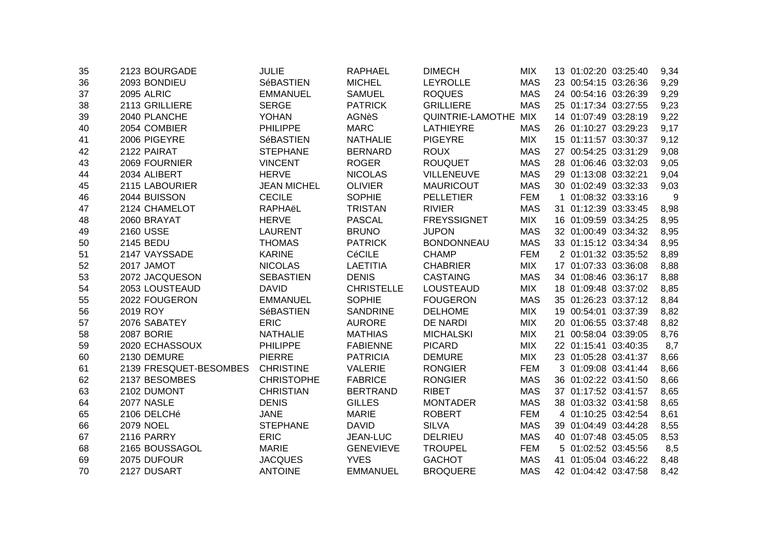| 35 | 2123 BOURGADE          | <b>JULIE</b>       | <b>RAPHAEL</b>    | <b>DIMECH</b>      | <b>MIX</b> | 13 01:02:20 03:25:40 | 9,34 |
|----|------------------------|--------------------|-------------------|--------------------|------------|----------------------|------|
| 36 | 2093 BONDIEU           | SéBASTIEN          | <b>MICHEL</b>     | <b>LEYROLLE</b>    | <b>MAS</b> | 23 00:54:15 03:26:36 | 9,29 |
| 37 | <b>2095 ALRIC</b>      | <b>EMMANUEL</b>    | <b>SAMUEL</b>     | <b>ROQUES</b>      | <b>MAS</b> | 24 00:54:16 03:26:39 | 9,29 |
| 38 | 2113 GRILLIERE         | <b>SERGE</b>       | <b>PATRICK</b>    | <b>GRILLIERE</b>   | <b>MAS</b> | 25 01:17:34 03:27:55 | 9,23 |
| 39 | 2040 PLANCHE           | <b>YOHAN</b>       | <b>AGNèS</b>      | QUINTRIE-LAMOTHE   | MIX        | 14 01:07:49 03:28:19 | 9,22 |
| 40 | 2054 COMBIER           | <b>PHILIPPE</b>    | <b>MARC</b>       | <b>LATHIEYRE</b>   | <b>MAS</b> | 26 01:10:27 03:29:23 | 9,17 |
| 41 | 2006 PIGEYRE           | <b>SéBASTIEN</b>   | <b>NATHALIE</b>   | <b>PIGEYRE</b>     | <b>MIX</b> | 15 01:11:57 03:30:37 | 9,12 |
| 42 | 2122 PAIRAT            | <b>STEPHANE</b>    | <b>BERNARD</b>    | <b>ROUX</b>        | <b>MAS</b> | 27 00:54:25 03:31:29 | 9,08 |
| 43 | 2069 FOURNIER          | <b>VINCENT</b>     | <b>ROGER</b>      | <b>ROUQUET</b>     | <b>MAS</b> | 28 01:06:46 03:32:03 | 9,05 |
| 44 | 2034 ALIBERT           | <b>HERVE</b>       | <b>NICOLAS</b>    | <b>VILLENEUVE</b>  | <b>MAS</b> | 29 01:13:08 03:32:21 | 9,04 |
| 45 | 2115 LABOURIER         | <b>JEAN MICHEL</b> | <b>OLIVIER</b>    | <b>MAURICOUT</b>   | <b>MAS</b> | 30 01:02:49 03:32:33 | 9,03 |
| 46 | 2044 BUISSON           | <b>CECILE</b>      | <b>SOPHIE</b>     | <b>PELLETIER</b>   | <b>FEM</b> | 1 01:08:32 03:33:16  | -9   |
| 47 | 2124 CHAMELOT          | RAPHAëL            | <b>TRISTAN</b>    | <b>RIVIER</b>      | <b>MAS</b> | 31 01:12:39 03:33:45 | 8,98 |
| 48 | 2060 BRAYAT            | <b>HERVE</b>       | <b>PASCAL</b>     | <b>FREYSSIGNET</b> | <b>MIX</b> | 16 01:09:59 03:34:25 | 8,95 |
| 49 | 2160 USSE              | <b>LAURENT</b>     | <b>BRUNO</b>      | <b>JUPON</b>       | <b>MAS</b> | 32 01:00:49 03:34:32 | 8,95 |
| 50 | 2145 BEDU              | <b>THOMAS</b>      | <b>PATRICK</b>    | <b>BONDONNEAU</b>  | <b>MAS</b> | 33 01:15:12 03:34:34 | 8,95 |
| 51 | 2147 VAYSSADE          | <b>KARINE</b>      | <b>CéCILE</b>     | <b>CHAMP</b>       | <b>FEM</b> | 2 01:01:32 03:35:52  | 8,89 |
| 52 | 2017 JAMOT             | <b>NICOLAS</b>     | <b>LAETITIA</b>   | <b>CHABRIER</b>    | <b>MIX</b> | 17 01:07:33 03:36:08 | 8,88 |
| 53 | 2072 JACQUESON         | <b>SEBASTIEN</b>   | <b>DENIS</b>      | <b>CASTAING</b>    | <b>MAS</b> | 34 01:08:46 03:36:17 | 8,88 |
| 54 | 2053 LOUSTEAUD         | <b>DAVID</b>       | <b>CHRISTELLE</b> | <b>LOUSTEAUD</b>   | <b>MIX</b> | 18 01:09:48 03:37:02 | 8,85 |
| 55 | 2022 FOUGERON          | <b>EMMANUEL</b>    | <b>SOPHIE</b>     | <b>FOUGERON</b>    | <b>MAS</b> | 35 01:26:23 03:37:12 | 8,84 |
| 56 | 2019 ROY               | SéBASTIEN          | <b>SANDRINE</b>   | <b>DELHOME</b>     | <b>MIX</b> | 19 00:54:01 03:37:39 | 8,82 |
| 57 | 2076 SABATEY           | <b>ERIC</b>        | <b>AURORE</b>     | <b>DE NARDI</b>    | <b>MIX</b> | 20 01:06:55 03:37:48 | 8,82 |
| 58 | <b>2087 BORIE</b>      | <b>NATHALIE</b>    | <b>MATHIAS</b>    | <b>MICHALSKI</b>   | <b>MIX</b> | 21 00:58:04 03:39:05 | 8,76 |
| 59 | 2020 ECHASSOUX         | <b>PHILIPPE</b>    | <b>FABIENNE</b>   | <b>PICARD</b>      | <b>MIX</b> | 22 01:15:41 03:40:35 | 8,7  |
| 60 | 2130 DEMURE            | <b>PIERRE</b>      | <b>PATRICIA</b>   | <b>DEMURE</b>      | <b>MIX</b> | 23 01:05:28 03:41:37 | 8,66 |
| 61 | 2139 FRESQUET-BESOMBES | <b>CHRISTINE</b>   | <b>VALERIE</b>    | <b>RONGIER</b>     | <b>FEM</b> | 3 01:09:08 03:41:44  | 8,66 |
| 62 | 2137 BESOMBES          | <b>CHRISTOPHE</b>  | <b>FABRICE</b>    | <b>RONGIER</b>     | <b>MAS</b> | 36 01:02:22 03:41:50 | 8,66 |
| 63 | 2102 DUMONT            | <b>CHRISTIAN</b>   | <b>BERTRAND</b>   | <b>RIBET</b>       | <b>MAS</b> | 37 01:17:52 03:41:57 | 8,65 |
| 64 | <b>2077 NASLE</b>      | <b>DENIS</b>       | <b>GILLES</b>     | <b>MONTADER</b>    | <b>MAS</b> | 38 01:03:32 03:41:58 | 8,65 |
| 65 | 2106 DELCHé            | <b>JANE</b>        | <b>MARIE</b>      | <b>ROBERT</b>      | <b>FEM</b> | 4 01:10:25 03:42:54  | 8,61 |
| 66 | <b>2079 NOEL</b>       | <b>STEPHANE</b>    | <b>DAVID</b>      | <b>SILVA</b>       | <b>MAS</b> | 39 01:04:49 03:44:28 | 8,55 |
| 67 | <b>2116 PARRY</b>      | <b>ERIC</b>        | JEAN-LUC          | <b>DELRIEU</b>     | <b>MAS</b> | 40 01:07:48 03:45:05 | 8,53 |
| 68 | 2165 BOUSSAGOL         | <b>MARIE</b>       | <b>GENEVIEVE</b>  | <b>TROUPEL</b>     | <b>FEM</b> | 5 01:02:52 03:45:56  | 8,5  |
| 69 | 2075 DUFOUR            | <b>JACQUES</b>     | <b>YVES</b>       | <b>GACHOT</b>      | <b>MAS</b> | 41 01:05:04 03:46:22 | 8,48 |
| 70 | 2127 DUSART            | <b>ANTOINE</b>     | <b>EMMANUEL</b>   | <b>BROQUERE</b>    | <b>MAS</b> | 42 01:04:42 03:47:58 | 8,42 |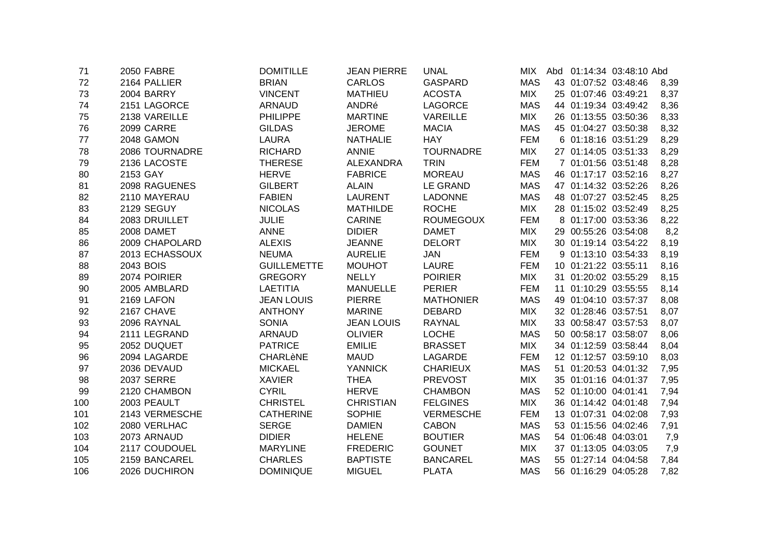| 71  | <b>2050 FABRE</b> | <b>DOMITILLE</b>   | <b>JEAN PIERRE</b> | <b>UNAL</b>      | MIX.       |                      | Abd 01:14:34 03:48:10 Abd |      |
|-----|-------------------|--------------------|--------------------|------------------|------------|----------------------|---------------------------|------|
| 72  | 2164 PALLIER      | <b>BRIAN</b>       | <b>CARLOS</b>      | <b>GASPARD</b>   | <b>MAS</b> | 43 01:07:52 03:48:46 |                           | 8,39 |
| 73  | <b>2004 BARRY</b> | <b>VINCENT</b>     | <b>MATHIEU</b>     | <b>ACOSTA</b>    | <b>MIX</b> | 25 01:07:46 03:49:21 |                           | 8,37 |
| 74  | 2151 LAGORCE      | <b>ARNAUD</b>      | ANDRé              | <b>LAGORCE</b>   | <b>MAS</b> | 44 01:19:34 03:49:42 |                           | 8,36 |
| 75  | 2138 VAREILLE     | <b>PHILIPPE</b>    | <b>MARTINE</b>     | <b>VAREILLE</b>  | <b>MIX</b> | 26 01:13:55 03:50:36 |                           | 8,33 |
| 76  | <b>2099 CARRE</b> | <b>GILDAS</b>      | <b>JEROME</b>      | <b>MACIA</b>     | <b>MAS</b> | 45 01:04:27 03:50:38 |                           | 8,32 |
| 77  | 2048 GAMON        | <b>LAURA</b>       | <b>NATHALIE</b>    | <b>HAY</b>       | <b>FEM</b> | 6 01:18:16 03:51:29  |                           | 8,29 |
| 78  | 2086 TOURNADRE    | <b>RICHARD</b>     | <b>ANNIE</b>       | <b>TOURNADRE</b> | <b>MIX</b> | 27 01:14:05 03:51:33 |                           | 8,29 |
| 79  | 2136 LACOSTE      | <b>THERESE</b>     | ALEXANDRA          | <b>TRIN</b>      | <b>FEM</b> | 7 01:01:56 03:51:48  |                           | 8,28 |
| 80  | 2153 GAY          | <b>HERVE</b>       | <b>FABRICE</b>     | <b>MOREAU</b>    | <b>MAS</b> | 46 01:17:17 03:52:16 |                           | 8,27 |
| 81  | 2098 RAGUENES     | <b>GILBERT</b>     | <b>ALAIN</b>       | LE GRAND         | <b>MAS</b> | 47 01:14:32 03:52:26 |                           | 8,26 |
| 82  | 2110 MAYERAU      | <b>FABIEN</b>      | <b>LAURENT</b>     | <b>LADONNE</b>   | <b>MAS</b> | 48 01:07:27 03:52:45 |                           | 8,25 |
| 83  | 2129 SEGUY        | <b>NICOLAS</b>     | <b>MATHILDE</b>    | <b>ROCHE</b>     | <b>MIX</b> | 28 01:15:02 03:52:49 |                           | 8,25 |
| 84  | 2083 DRUILLET     | <b>JULIE</b>       | <b>CARINE</b>      | <b>ROUMEGOUX</b> | <b>FEM</b> | 8 01:17:00 03:53:36  |                           | 8,22 |
| 85  | 2008 DAMET        | <b>ANNE</b>        | <b>DIDIER</b>      | <b>DAMET</b>     | <b>MIX</b> | 29 00:55:26 03:54:08 |                           | 8,2  |
| 86  | 2009 CHAPOLARD    | <b>ALEXIS</b>      | <b>JEANNE</b>      | <b>DELORT</b>    | <b>MIX</b> | 30 01:19:14 03:54:22 |                           | 8,19 |
| 87  | 2013 ECHASSOUX    | <b>NEUMA</b>       | <b>AURELIE</b>     | <b>JAN</b>       | <b>FEM</b> | 9 01:13:10 03:54:33  |                           | 8,19 |
| 88  | 2043 BOIS         | <b>GUILLEMETTE</b> | <b>MOUHOT</b>      | <b>LAURE</b>     | <b>FEM</b> | 10 01:21:22 03:55:11 |                           | 8,16 |
| 89  | 2074 POIRIER      | <b>GREGORY</b>     | <b>NELLY</b>       | <b>POIRIER</b>   | <b>MIX</b> | 31 01:20:02 03:55:29 |                           | 8,15 |
| 90  | 2005 AMBLARD      | <b>LAETITIA</b>    | <b>MANUELLE</b>    | <b>PERIER</b>    | FEM        | 11 01:10:29 03:55:55 |                           | 8,14 |
| 91  | 2169 LAFON        | <b>JEAN LOUIS</b>  | <b>PIERRE</b>      | <b>MATHONIER</b> | <b>MAS</b> | 49 01:04:10 03:57:37 |                           | 8,08 |
| 92  | 2167 CHAVE        | <b>ANTHONY</b>     | <b>MARINE</b>      | <b>DEBARD</b>    | <b>MIX</b> | 32 01:28:46 03:57:51 |                           | 8,07 |
| 93  | 2096 RAYNAL       | <b>SONIA</b>       | <b>JEAN LOUIS</b>  | <b>RAYNAL</b>    | <b>MIX</b> | 33 00:58:47 03:57:53 |                           | 8,07 |
| 94  | 2111 LEGRAND      | <b>ARNAUD</b>      | <b>OLIVIER</b>     | <b>LOCHE</b>     | <b>MAS</b> | 50 00:58:17 03:58:07 |                           | 8,06 |
| 95  | 2052 DUQUET       | <b>PATRICE</b>     | <b>EMILIE</b>      | <b>BRASSET</b>   | <b>MIX</b> | 34 01:12:59 03:58:44 |                           | 8,04 |
| 96  | 2094 LAGARDE      | <b>CHARLèNE</b>    | <b>MAUD</b>        | LAGARDE          | <b>FEM</b> | 12 01:12:57 03:59:10 |                           | 8,03 |
| 97  | 2036 DEVAUD       | <b>MICKAEL</b>     | <b>YANNICK</b>     | <b>CHARIEUX</b>  | <b>MAS</b> | 51 01:20:53 04:01:32 |                           | 7,95 |
| 98  | <b>2037 SERRE</b> | <b>XAVIER</b>      | <b>THEA</b>        | <b>PREVOST</b>   | <b>MIX</b> | 35 01:01:16 04:01:37 |                           | 7,95 |
| 99  | 2120 CHAMBON      | <b>CYRIL</b>       | <b>HERVE</b>       | <b>CHAMBON</b>   | <b>MAS</b> | 52 01:10:00 04:01:41 |                           | 7,94 |
| 100 | 2003 PEAULT       | <b>CHRISTEL</b>    | <b>CHRISTIAN</b>   | <b>FELGINES</b>  | <b>MIX</b> | 36 01:14:42 04:01:48 |                           | 7,94 |
| 101 | 2143 VERMESCHE    | <b>CATHERINE</b>   | <b>SOPHIE</b>      | <b>VERMESCHE</b> | <b>FEM</b> | 13 01:07:31 04:02:08 |                           | 7,93 |
| 102 | 2080 VERLHAC      | <b>SERGE</b>       | <b>DAMIEN</b>      | <b>CABON</b>     | <b>MAS</b> | 53 01:15:56 04:02:46 |                           | 7,91 |
| 103 | 2073 ARNAUD       | <b>DIDIER</b>      | <b>HELENE</b>      | <b>BOUTIER</b>   | <b>MAS</b> | 54 01:06:48 04:03:01 |                           | 7,9  |
| 104 | 2117 COUDOUEL     | <b>MARYLINE</b>    | <b>FREDERIC</b>    | <b>GOUNET</b>    | <b>MIX</b> | 37 01:13:05 04:03:05 |                           | 7,9  |
| 105 | 2159 BANCAREL     | <b>CHARLES</b>     | <b>BAPTISTE</b>    | <b>BANCAREL</b>  | <b>MAS</b> | 55 01:27:14 04:04:58 |                           | 7,84 |
| 106 | 2026 DUCHIRON     | <b>DOMINIQUE</b>   | <b>MIGUEL</b>      | <b>PLATA</b>     | <b>MAS</b> | 56 01:16:29 04:05:28 |                           | 7,82 |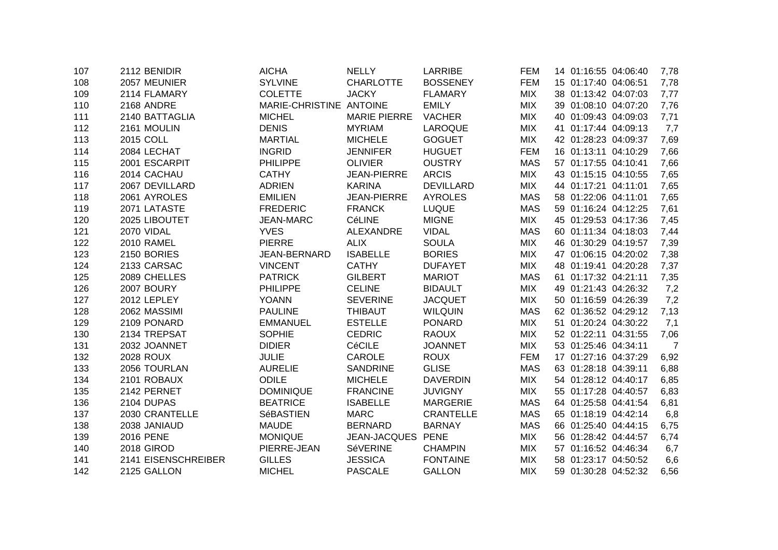| 107 | 2112 BENIDIR        | <b>AICHA</b>     | <b>NELLY</b>        | <b>LARRIBE</b>   | <b>FEM</b> | 14 01:16:55 04:06:40 | 7,78           |
|-----|---------------------|------------------|---------------------|------------------|------------|----------------------|----------------|
| 108 | 2057 MEUNIER        | <b>SYLVINE</b>   | <b>CHARLOTTE</b>    | <b>BOSSENEY</b>  | <b>FEM</b> | 15 01:17:40 04:06:51 | 7,78           |
| 109 | 2114 FLAMARY        | <b>COLETTE</b>   | <b>JACKY</b>        | <b>FLAMARY</b>   | <b>MIX</b> | 38 01:13:42 04:07:03 | 7,77           |
| 110 | 2168 ANDRE          | MARIE-CHRISTINE  | <b>ANTOINE</b>      | <b>EMILY</b>     | <b>MIX</b> | 39 01:08:10 04:07:20 | 7,76           |
| 111 | 2140 BATTAGLIA      | <b>MICHEL</b>    | <b>MARIE PIERRE</b> | <b>VACHER</b>    | <b>MIX</b> | 40 01:09:43 04:09:03 | 7,71           |
| 112 | 2161 MOULIN         | <b>DENIS</b>     | <b>MYRIAM</b>       | <b>LAROQUE</b>   | <b>MIX</b> | 41 01:17:44 04:09:13 | 7,7            |
| 113 | 2015 COLL           | <b>MARTIAL</b>   | <b>MICHELE</b>      | <b>GOGUET</b>    | <b>MIX</b> | 42 01:28:23 04:09:37 | 7,69           |
| 114 | 2084 LECHAT         | <b>INGRID</b>    | <b>JENNIFER</b>     | <b>HUGUET</b>    | <b>FEM</b> | 16 01:13:11 04:10:29 | 7,66           |
| 115 | 2001 ESCARPIT       | <b>PHILIPPE</b>  | <b>OLIVIER</b>      | <b>OUSTRY</b>    | <b>MAS</b> | 57 01:17:55 04:10:41 | 7,66           |
| 116 | 2014 CACHAU         | <b>CATHY</b>     | <b>JEAN-PIERRE</b>  | <b>ARCIS</b>     | <b>MIX</b> | 43 01:15:15 04:10:55 | 7,65           |
| 117 | 2067 DEVILLARD      | <b>ADRIEN</b>    | <b>KARINA</b>       | <b>DEVILLARD</b> | <b>MIX</b> | 44 01:17:21 04:11:01 | 7,65           |
| 118 | 2061 AYROLES        | <b>EMILIEN</b>   | <b>JEAN-PIERRE</b>  | <b>AYROLES</b>   | <b>MAS</b> | 58 01:22:06 04:11:01 | 7,65           |
| 119 | 2071 LATASTE        | <b>FREDERIC</b>  | <b>FRANCK</b>       | <b>LUQUE</b>     | <b>MAS</b> | 59 01:16:24 04:12:25 | 7,61           |
| 120 | 2025 LIBOUTET       | <b>JEAN-MARC</b> | CéLINE              | <b>MIGNE</b>     | <b>MIX</b> | 45 01:29:53 04:17:36 | 7,45           |
| 121 | 2070 VIDAL          | <b>YVES</b>      | <b>ALEXANDRE</b>    | <b>VIDAL</b>     | <b>MAS</b> | 60 01:11:34 04:18:03 | 7,44           |
| 122 | <b>2010 RAMEL</b>   | <b>PIERRE</b>    | <b>ALIX</b>         | <b>SOULA</b>     | <b>MIX</b> | 46 01:30:29 04:19:57 | 7,39           |
| 123 | 2150 BORIES         | JEAN-BERNARD     | <b>ISABELLE</b>     | <b>BORIES</b>    | <b>MIX</b> | 47 01:06:15 04:20:02 | 7,38           |
| 124 | 2133 CARSAC         | <b>VINCENT</b>   | <b>CATHY</b>        | <b>DUFAYET</b>   | <b>MIX</b> | 48 01:19:41 04:20:28 | 7,37           |
| 125 | 2089 CHELLES        | <b>PATRICK</b>   | <b>GILBERT</b>      | <b>MARIOT</b>    | <b>MAS</b> | 61 01:17:32 04:21:11 | 7,35           |
| 126 | 2007 BOURY          | <b>PHILIPPE</b>  | <b>CELINE</b>       | <b>BIDAULT</b>   | <b>MIX</b> | 49 01:21:43 04:26:32 | 7,2            |
| 127 | 2012 LEPLEY         | <b>YOANN</b>     | <b>SEVERINE</b>     | <b>JACQUET</b>   | <b>MIX</b> | 50 01:16:59 04:26:39 | 7,2            |
| 128 | 2062 MASSIMI        | <b>PAULINE</b>   | <b>THIBAUT</b>      | <b>WILQUIN</b>   | <b>MAS</b> | 62 01:36:52 04:29:12 | 7,13           |
| 129 | 2109 PONARD         | <b>EMMANUEL</b>  | <b>ESTELLE</b>      | <b>PONARD</b>    | <b>MIX</b> | 51 01:20:24 04:30:22 | 7,1            |
| 130 | 2134 TREPSAT        | <b>SOPHIE</b>    | <b>CEDRIC</b>       | <b>RAOUX</b>     | <b>MIX</b> | 52 01:22:11 04:31:55 | 7,06           |
| 131 | 2032 JOANNET        | <b>DIDIER</b>    | CéCILE              | <b>JOANNET</b>   | <b>MIX</b> | 53 01:25:46 04:34:11 | $\overline{7}$ |
| 132 | <b>2028 ROUX</b>    | <b>JULIE</b>     | <b>CAROLE</b>       | <b>ROUX</b>      | <b>FEM</b> | 17 01:27:16 04:37:29 | 6,92           |
| 133 | 2056 TOURLAN        | <b>AURELIE</b>   | <b>SANDRINE</b>     | <b>GLISE</b>     | <b>MAS</b> | 63 01:28:18 04:39:11 | 6,88           |
| 134 | 2101 ROBAUX         | <b>ODILE</b>     | <b>MICHELE</b>      | <b>DAVERDIN</b>  | <b>MIX</b> | 54 01:28:12 04:40:17 | 6,85           |
| 135 | 2142 PERNET         | <b>DOMINIQUE</b> | <b>FRANCINE</b>     | <b>JUVIGNY</b>   | <b>MIX</b> | 55 01:17:28 04:40:57 | 6,83           |
| 136 | 2104 DUPAS          | <b>BEATRICE</b>  | <b>ISABELLE</b>     | <b>MARGERIE</b>  | <b>MAS</b> | 64 01:25:58 04:41:54 | 6,81           |
| 137 | 2030 CRANTELLE      | SéBASTIEN        | <b>MARC</b>         | <b>CRANTELLE</b> | <b>MAS</b> | 65 01:18:19 04:42:14 | 6,8            |
| 138 | 2038 JANIAUD        | <b>MAUDE</b>     | <b>BERNARD</b>      | <b>BARNAY</b>    | <b>MAS</b> | 66 01:25:40 04:44:15 | 6,75           |
| 139 | <b>2016 PENE</b>    | <b>MONIQUE</b>   | JEAN-JACQUES        | <b>PENE</b>      | <b>MIX</b> | 56 01:28:42 04:44:57 | 6,74           |
| 140 | 2018 GIROD          | PIERRE-JEAN      | <b>SéVERINE</b>     | <b>CHAMPIN</b>   | <b>MIX</b> | 57 01:16:52 04:46:34 | 6,7            |
| 141 | 2141 EISENSCHREIBER | <b>GILLES</b>    | <b>JESSICA</b>      | <b>FONTAINE</b>  | <b>MIX</b> | 58 01:23:17 04:50:52 | 6,6            |
| 142 | 2125 GALLON         | <b>MICHEL</b>    | <b>PASCALE</b>      | <b>GALLON</b>    | <b>MIX</b> | 59 01:30:28 04:52:32 | 6,56           |